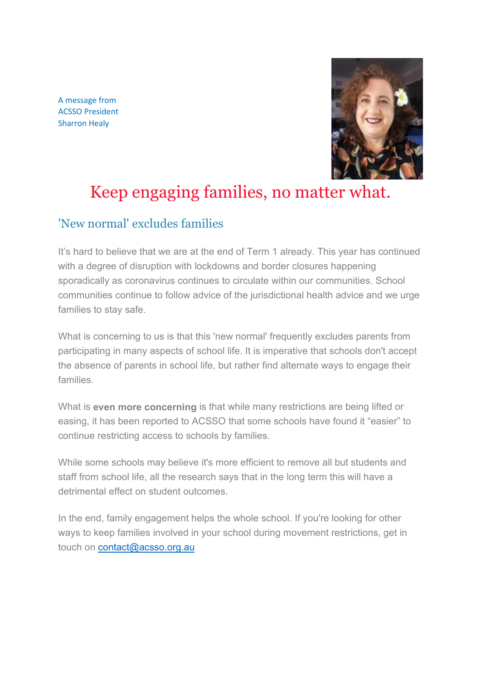A message from ACSSO President Sharron Healy



# Keep engaging families, no matter what.

#### 'New normal' excludes families

It's hard to believe that we are at the end of Term 1 already. This year has continued with a degree of disruption with lockdowns and border closures happening sporadically as coronavirus continues to circulate within our communities. School communities continue to follow advice of the jurisdictional health advice and we urge families to stay safe.

What is concerning to us is that this 'new normal' frequently excludes parents from participating in many aspects of school life. It is imperative that schools don't accept the absence of parents in school life, but rather find alternate ways to engage their families.

What is **even more concerning** is that while many restrictions are being lifted or easing, it has been reported to ACSSO that some schools have found it "easier" to continue restricting access to schools by families.

While some schools may believe it's more efficient to remove all but students and staff from school life, all the research says that in the long term this will have a detrimental effect on student outcomes.

In the end, family engagement helps the whole school. If you're looking for other ways to keep families involved in your school during movement restrictions, get in touch on [contact@acsso.org.au](mailto:contact@acsso.org.au)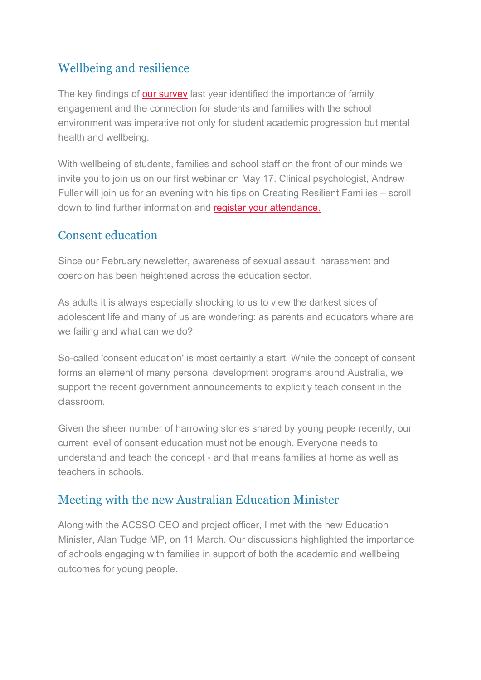# Wellbeing and resilience

The key findings of [our survey](https://acsso.createsend1.com/t/i-l-mhtkiut-l-d/) last year identified the importance of family engagement and the connection for students and families with the school environment was imperative not only for student academic progression but mental health and wellbeing.

With wellbeing of students, families and school staff on the front of our minds we invite you to join us on our first webinar on May 17. Clinical psychologist, Andrew Fuller will join us for an evening with his tips on Creating Resilient Families – scroll down to find further information and [register your attendance.](https://acsso.createsend1.com/t/i-l-mhtkiut-l-h/)

### Consent education

Since our February newsletter, awareness of sexual assault, harassment and coercion has been heightened across the education sector.

As adults it is always especially shocking to us to view the darkest sides of adolescent life and many of us are wondering: as parents and educators where are we failing and what can we do?

So-called 'consent education' is most certainly a start. While the concept of consent forms an element of many personal development programs around Australia, we support the recent government announcements to explicitly teach consent in the classroom.

Given the sheer number of harrowing stories shared by young people recently, our current level of consent education must not be enough. Everyone needs to understand and teach the concept - and that means families at home as well as teachers in schools.

## Meeting with the new Australian Education Minister

Along with the ACSSO CEO and project officer, I met with the new Education Minister, Alan Tudge MP, on 11 March. Our discussions highlighted the importance of schools engaging with families in support of both the academic and wellbeing outcomes for young people.